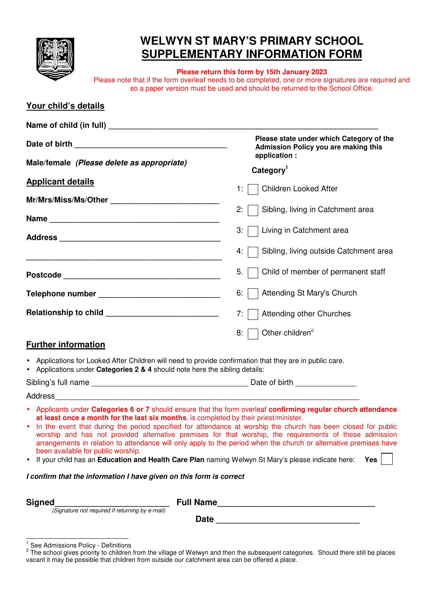

## **WELWYN ST MARY'S PRIMARY SCHOOL SUPPLEMENTARY INFORMATION FORM**

**Please return this form by 15th January 2023**  Please note that if the form overleaf needs to be completed, one or more signatures are required and so a paper version must be used and should be returned to the School Office.

| Your child's details                                                                                                                                                                                                                         |                                                                                                                                                                                                                                                                                                                                                                                                                                                                            |  |
|----------------------------------------------------------------------------------------------------------------------------------------------------------------------------------------------------------------------------------------------|----------------------------------------------------------------------------------------------------------------------------------------------------------------------------------------------------------------------------------------------------------------------------------------------------------------------------------------------------------------------------------------------------------------------------------------------------------------------------|--|
|                                                                                                                                                                                                                                              |                                                                                                                                                                                                                                                                                                                                                                                                                                                                            |  |
|                                                                                                                                                                                                                                              | Please state under which Category of the<br><b>Admission Policy you are making this</b><br>application :                                                                                                                                                                                                                                                                                                                                                                   |  |
| Male/female (Please delete as appropriate)                                                                                                                                                                                                   | Category <sup>1</sup>                                                                                                                                                                                                                                                                                                                                                                                                                                                      |  |
| <b>Applicant details</b>                                                                                                                                                                                                                     | Children Looked After<br>1:1                                                                                                                                                                                                                                                                                                                                                                                                                                               |  |
|                                                                                                                                                                                                                                              |                                                                                                                                                                                                                                                                                                                                                                                                                                                                            |  |
|                                                                                                                                                                                                                                              | 2:1<br>Sibling, living in Catchment area                                                                                                                                                                                                                                                                                                                                                                                                                                   |  |
|                                                                                                                                                                                                                                              | 3:     Living in Catchment area                                                                                                                                                                                                                                                                                                                                                                                                                                            |  |
| <u> 1999 - Johann John Stone, mars and deutscher Stone (1990)</u>                                                                                                                                                                            | Sibling, living outside Catchment area<br>4:                                                                                                                                                                                                                                                                                                                                                                                                                               |  |
|                                                                                                                                                                                                                                              | 5.<br>Child of member of permanent staff                                                                                                                                                                                                                                                                                                                                                                                                                                   |  |
| Telephone number ___________________________________                                                                                                                                                                                         | Attending St Mary's Church<br>6:                                                                                                                                                                                                                                                                                                                                                                                                                                           |  |
|                                                                                                                                                                                                                                              | 7:1<br><b>Attending other Churches</b>                                                                                                                                                                                                                                                                                                                                                                                                                                     |  |
|                                                                                                                                                                                                                                              | Other children <sup>2</sup><br>8: 1                                                                                                                                                                                                                                                                                                                                                                                                                                        |  |
| <b>Further information</b>                                                                                                                                                                                                                   |                                                                                                                                                                                                                                                                                                                                                                                                                                                                            |  |
| • Applications for Looked After Children will need to provide confirmation that they are in public care.<br>• Applications under Categories 2 & 4 should note here the sibling details:                                                      |                                                                                                                                                                                                                                                                                                                                                                                                                                                                            |  |
|                                                                                                                                                                                                                                              |                                                                                                                                                                                                                                                                                                                                                                                                                                                                            |  |
|                                                                                                                                                                                                                                              |                                                                                                                                                                                                                                                                                                                                                                                                                                                                            |  |
| at least once a month for the last six months, is completed by their priest/minister.<br>been available for public worship.<br>If your child has an <b>Education and Health Care Plan</b> naming Welwyn St Mary's please indicate here:<br>٠ | • Applicants under Categories 6 or 7 should ensure that the form overleaf confirming regular church attendance<br>In the event that during the period specified for attendance at worship the church has been closed for public<br>worship and has not provided alternative premises for that worship, the requirements of these admission<br>arrangements in relation to attendance will only apply to the period when the church or alternative premises have<br>Yes $ $ |  |
| I confirm that the information I have given on this form is correct                                                                                                                                                                          |                                                                                                                                                                                                                                                                                                                                                                                                                                                                            |  |
| <b>Signed</b><br><b>1</b><br>(Signature not required if returning by e-mail)                                                                                                                                                                 |                                                                                                                                                                                                                                                                                                                                                                                                                                                                            |  |
|                                                                                                                                                                                                                                              |                                                                                                                                                                                                                                                                                                                                                                                                                                                                            |  |
|                                                                                                                                                                                                                                              |                                                                                                                                                                                                                                                                                                                                                                                                                                                                            |  |

<sup>1&</sup>lt;br><sup>1</sup> See Admissions Policy - Definitions<br><sup>2</sup> The school gives priority to children from the village of Welwyn and then the subsequent categories. Should there still be places vacant it may be possible that children from outside our catchment area can be offered a place.